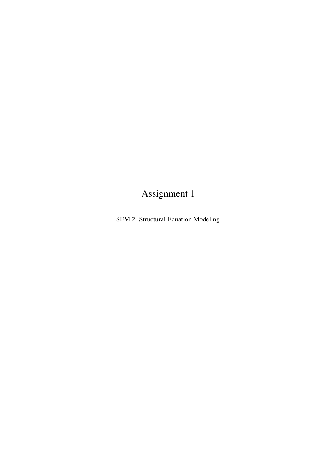# Assignment 1

SEM 2: Structural Equation Modeling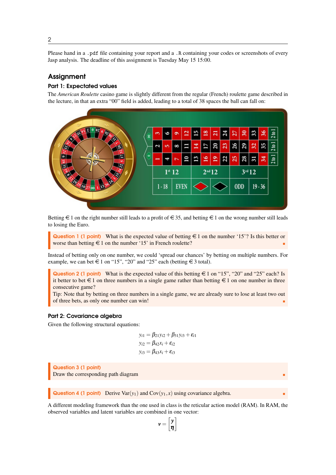Please hand in a .pdf file containing your report and a .R containing your codes or screenshots of every Jasp analysis. The deadline of this assignment is Tuesday May 15 15:00.

# Assignment

## Part 1: Expectated values

The *American Roulette* casino game is slightly different from the regular (French) roulette game described in the lecture, in that an extra "00" field is added, leading to a total of 38 spaces the ball can fall on:



Betting  $\in$  1 on the right number still leads to a profit of  $\in$  35, and betting  $\in$  1 on the wrong number still leads to losing the Euro.

Question 1 (1 point) What is the expected value of betting  $\in$  1 on the number '15'? Is this better or worse than betting  $\in$  1 on the number '15' in French roulette?

Instead of betting only on one number, we could 'spread our chances' by betting on multiple numbers. For example, we can bet  $\in$  1 on "15", "20" and "25" each (betting  $\in$  3 total).

Question 2 (1 point) What is the expected value of this betting  $\epsilon$  1 on "15", "20" and "25" each? Is it better to bet  $\in$  1 on three numbers in a single game rather than betting  $\in$  1 on one number in three consecutive game?

Tip: Note that by betting on three numbers in a single game, we are already sure to lose at least two out of three bets, as only one number can win!

#### Part 2: Covariance algebra

Given the following structural equations:

$$
y_{i1} = \beta_{21}y_{i2} + \beta_{31}y_{i3} + \varepsilon_{i1}
$$
  
\n
$$
y_{i2} = \beta_{42}x_i + \varepsilon_{i2}
$$
  
\n
$$
y_{i3} = \beta_{43}x_i + \varepsilon_{i3}
$$

Question 3 (1 point) Draw the corresponding path diagram

**Question 4 (1 point)** Derive Var $(y_1)$  and Cov $(y_1, x)$  using covariance algebra.

A different modeling framework than the one used in class is the reticular action model (RAM). In RAM, the observed variables and latent variables are combined in one vector:

$$
\nu = \begin{bmatrix} y \\ \eta \end{bmatrix}
$$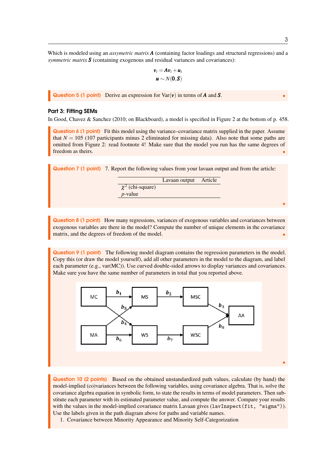Which is modeled using an *assymetric matrix* **A** (containing factor loadings and structural regressions) and a *symmetric matrix*  $S$  (containing exogenous and residual variances and covariances):

$$
v_i = Av_i + u_i
$$

$$
u \sim N(0, S)
$$

Question 5 (1 point) Derive an expression for Var(*v*) in terms of *A* and *S*.

#### Part 3: Fitting SEMs

In Good, Chavez & Sanchez (2010; on Blackboard), a model is specified in Figure 2 at the bottom of p. 458.

Question 6 (1 point) Fit this model using the variance–covariance matrix supplied in the paper. Assume that  $N = 105$  (107 participants minus 2 eliminated for missing data). Also note that some paths are omitted from Figure 2: read footnote 4! Make sure that the model you run has the same degrees of freedom as theirs.

| <b>Question 7 (1 point)</b> 7. Report the following values from your lavaan output and from the article: |                       |  |  |
|----------------------------------------------------------------------------------------------------------|-----------------------|--|--|
|                                                                                                          | Lavaan output Article |  |  |
| $\chi^2$ (chi-square)                                                                                    |                       |  |  |
| $p$ -value                                                                                               |                       |  |  |
|                                                                                                          |                       |  |  |

Question 8 (1 point) How many regressions, variances of exogenous variables and covariances between exogenous variables are there in the model? Compute the number of unique elements in the covariance matrix, and the degrees of freedom of the model.

Question 9 (1 point) The following model diagram contains the regression parameters in the model. Copy this (or draw the model yourself), add all other parameters in the model to the diagram, and label each parameter (e.g., var(MC)). Use curved double-sided arrows to display variances and covariances. Make sure you have the same number of parameters in total that you reported above.



Question 10 (2 points) Based on the obtained unstandardized path values, calculate (by hand) the model-implied (co)variances between the following variables, using covariance algebra. That is, solve the covariance algebra equation in symbolic form, to state the results in terms of model parameters. Then substitute each parameter with its estimated parameter value, and compute the answer. Compare your results with the values in the model-implied covariance matrix Lavaan gives (lavInspect (fit, "sigma")). Use the labels given in the path diagram above for paths and variable names.

1. Covariance between Minority Appearance and Minority Self-Categorization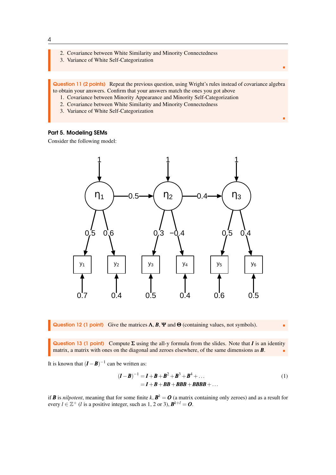- 2. Covariance between White Similarity and Minority Connectedness
- 3. Variance of White Self-Categorization

Question 11 (2 points) Repeat the previous question, using Wright's rules instead of covariance algebra to obtain your answers. Confirm that your answers match the ones you got above

- 1. Covariance between Minority Appearance and Minority Self-Categorization
- 2. Covariance between White Similarity and Minority Connectedness
- 3. Variance of White Self-Categorization

## Part 5. Modeling SEMs

Consider the following model:



Question 12 (1 point) Give the matrices  $\Lambda$ ,  $\mathbf{B}$ ,  $\Psi$  and  $\Theta$  (containing values, not symbols).

<span id="page-3-0"></span>

п

r

Question 13 (1 point) Compute Σ using the all-y formula from the slides. Note that *I* is an identity matrix, a matrix with ones on the diagonal and zeroes elsewhere, of the same dimensions as *B*.

It is known that  $(I - B)^{-1}$  can be written as:

$$
(I - B)^{-1} = I + B + B^2 + B^3 + B^4 + ...
$$
  
= I + B + BB + BBB + BBB + ... (1)

if *B* is *nilpotent*, meaning that for some finite  $k$ ,  $B^k = O$  (a matrix containing only zeroes) and as a result for every  $l \in \mathbb{Z}^+$  (*l* is a positive integer, such as 1, 2 or 3),  $B^{k+l} = 0$ .